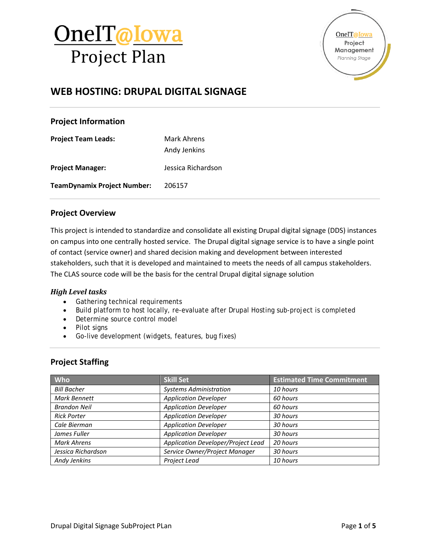

OneIT@Iowa Project Management Planning Stage

## **WEB HOSTING: DRUPAL DIGITAL SIGNAGE**

### **Project Information**

**Project Team Leads:** Mark Ahrens

Andy Jenkins

**Project Manager:** Jessica Richardson

**TeamDynamix Project Number:** 206157

### **Project Overview**

This project is intended to standardize and consolidate all existing Drupal digital signage (DDS) instances on campus into one centrally hosted service. The Drupal digital signage service is to have a single point of contact (service owner) and shared decision making and development between interested stakeholders, such that it is developed and maintained to meets the needs of all campus stakeholders. The CLAS source code will be the basis for the central Drupal digital signage solution

#### *High Level tasks*

- Gathering technical requirements
- Build platform to host locally, re-evaluate after Drupal Hosting sub-project is completed
- Determine source control model
- Pilot signs
- Go-live development (widgets, features, bug fixes)

### **Project Staffing**

| <b>Who</b>          | <b>Skill Set</b>                   | <b>Estimated Time Commitment</b> |
|---------------------|------------------------------------|----------------------------------|
| <b>Bill Bacher</b>  | <b>Systems Administration</b>      | 10 hours                         |
| <b>Mark Bennett</b> | <b>Application Developer</b>       | 60 hours                         |
| <b>Brandon Neil</b> | <b>Application Developer</b>       | 60 hours                         |
| <b>Rick Porter</b>  | <b>Application Developer</b>       | 30 hours                         |
| Cale Bierman        | <b>Application Developer</b>       | 30 hours                         |
| James Fuller        | <b>Application Developer</b>       | 30 hours                         |
| <b>Mark Ahrens</b>  | Application Developer/Project Lead | 20 hours                         |
| Jessica Richardson  | Service Owner/Project Manager      | 30 hours                         |
| Andy Jenkins        | Project Lead                       | 10 hours                         |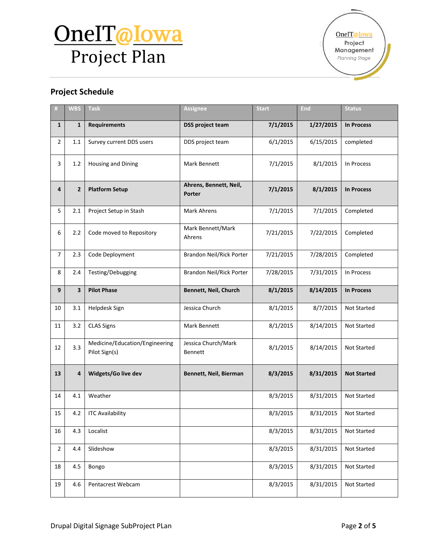# OneIT@Iowa Project Plan

### **Project Schedule**

| #              | <b>WBS</b>              | <b>Task</b>                                     | <b>Assignee</b>                                         | <b>Start</b>           | <b>End</b>         | <b>Status</b>      |
|----------------|-------------------------|-------------------------------------------------|---------------------------------------------------------|------------------------|--------------------|--------------------|
| $\mathbf{1}$   | $\mathbf{1}$            | <b>Requirements</b>                             | 7/1/2015<br>1/27/2015<br><b>DSS project team</b>        |                        | <b>In Process</b>  |                    |
| $\overline{2}$ | 1.1                     | Survey current DDS users                        | 6/1/2015<br>DDS project team                            |                        | 6/15/2015          | completed          |
| 3              | 1.2                     | Housing and Dining                              | Mark Bennett                                            | 7/1/2015               | 8/1/2015           | In Process         |
| 4              | $\overline{2}$          | <b>Platform Setup</b>                           | Ahrens, Bennett, Neil,<br>Porter                        | 7/1/2015               | 8/1/2015           | <b>In Process</b>  |
| 5              | 2.1                     | Project Setup in Stash                          | <b>Mark Ahrens</b>                                      | 7/1/2015               | 7/1/2015           | Completed          |
| 6              | 2.2                     | Code moved to Repository                        | Mark Bennett/Mark<br>Ahrens                             | 7/21/2015<br>7/22/2015 |                    | Completed          |
| $\overline{7}$ | 2.3                     | Code Deployment                                 | Brandon Neil/Rick Porter                                | 7/21/2015              | 7/28/2015          | Completed          |
| 8              | 2.4                     | Testing/Debugging                               | Brandon Neil/Rick Porter<br>7/28/2015<br>7/31/2015      |                        | In Process         |                    |
| 9              | $\overline{\mathbf{3}}$ | <b>Pilot Phase</b>                              | Bennett, Neil, Church<br>8/1/2015<br>8/14/2015          |                        | <b>In Process</b>  |                    |
| 10             | 3.1                     | Helpdesk Sign                                   | Jessica Church<br>8/1/2015<br>8/7/2015                  |                        | Not Started        |                    |
| 11             | 3.2                     | <b>CLAS Signs</b>                               | Mark Bennett                                            | 8/1/2015<br>8/14/2015  |                    | <b>Not Started</b> |
| 12             | 3.3                     | Medicine/Education/Engineering<br>Pilot Sign(s) | Jessica Church/Mark<br>8/1/2015<br>8/14/2015<br>Bennett |                        | <b>Not Started</b> |                    |
| 13             | 4                       | Widgets/Go live dev                             | Bennett, Neil, Bierman                                  | 8/3/2015               | 8/31/2015          | <b>Not Started</b> |
| 14             | 4.1                     | Weather                                         |                                                         | 8/3/2015               | 8/31/2015          | Not Started        |
| 15             | 4.2                     | <b>ITC Availability</b>                         |                                                         | 8/3/2015               | 8/31/2015          | Not Started        |
| 16             | 4.3                     | Localist                                        |                                                         | 8/3/2015               | 8/31/2015          | Not Started        |
| $\mathbf 2$    | 4.4                     | Slideshow                                       |                                                         | 8/3/2015               | 8/31/2015          | Not Started        |
| 18             | 4.5                     | Bongo                                           |                                                         | 8/3/2015               | 8/31/2015          | Not Started        |
| 19             | 4.6                     | Pentacrest Webcam                               |                                                         | 8/3/2015               | 8/31/2015          | Not Started        |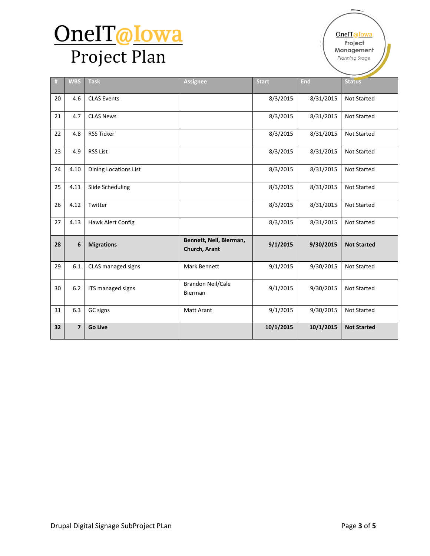# OneIT@Iowa Project Plan

| #  | <b>WBS</b>              | <b>Task</b>           | <b>Assignee</b>                          | <b>Start</b> | <b>End</b> | <b>Status</b>      |
|----|-------------------------|-----------------------|------------------------------------------|--------------|------------|--------------------|
| 20 | 4.6                     | <b>CLAS Events</b>    |                                          | 8/3/2015     | 8/31/2015  | <b>Not Started</b> |
| 21 | 4.7                     | <b>CLAS News</b>      |                                          | 8/3/2015     | 8/31/2015  | Not Started        |
| 22 | 4.8                     | <b>RSS Ticker</b>     |                                          | 8/3/2015     | 8/31/2015  | <b>Not Started</b> |
| 23 | 4.9                     | <b>RSS List</b>       |                                          | 8/3/2015     | 8/31/2015  | <b>Not Started</b> |
| 24 | 4.10                    | Dining Locations List |                                          | 8/3/2015     | 8/31/2015  | <b>Not Started</b> |
| 25 | 4.11                    | Slide Scheduling      |                                          | 8/3/2015     | 8/31/2015  | <b>Not Started</b> |
| 26 | 4.12                    | Twitter               |                                          | 8/3/2015     | 8/31/2015  | <b>Not Started</b> |
| 27 | 4.13                    | Hawk Alert Config     |                                          | 8/3/2015     | 8/31/2015  | <b>Not Started</b> |
| 28 | 6                       | <b>Migrations</b>     | Bennett, Neil, Bierman,<br>Church, Arant | 9/1/2015     | 9/30/2015  | <b>Not Started</b> |
| 29 | 6.1                     | CLAS managed signs    | Mark Bennett                             | 9/1/2015     | 9/30/2015  | <b>Not Started</b> |
| 30 | 6.2                     | ITS managed signs     | <b>Brandon Neil/Cale</b><br>Bierman      | 9/1/2015     | 9/30/2015  | <b>Not Started</b> |
| 31 | 6.3                     | GC signs              | <b>Matt Arant</b>                        | 9/1/2015     | 9/30/2015  | <b>Not Started</b> |
| 32 | $\overline{\mathbf{z}}$ | <b>Go Live</b>        |                                          | 10/1/2015    | 10/1/2015  | <b>Not Started</b> |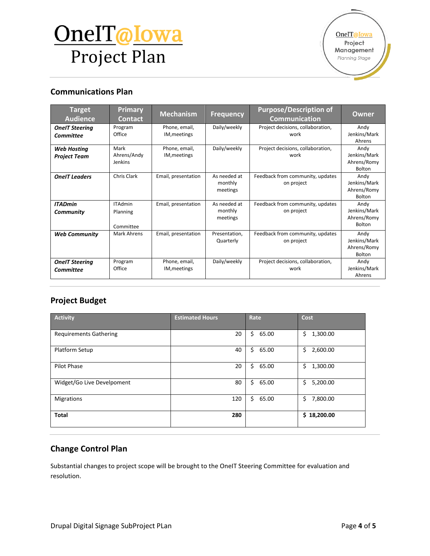# OneIT@Iowa Project Plan

OneIT@Iowa Project Management Planning Stage

### **Communications Plan**

| <b>Target</b><br><b>Audience</b>          | <b>Primary</b><br><b>Contact</b>        | <b>Mechanism</b>              | <b>Frequency</b>                    | <b>Purpose/Description of</b><br><b>Communication</b> | <b>Owner</b>                                         |
|-------------------------------------------|-----------------------------------------|-------------------------------|-------------------------------------|-------------------------------------------------------|------------------------------------------------------|
| <b>OneIT Steering</b><br><b>Committee</b> | Program<br>Office                       | Phone, email,<br>IM, meetings | Daily/weekly                        | Project decisions, collaboration,<br>work             | Andy<br>Jenkins/Mark<br>Ahrens                       |
| <b>Web Hosting</b><br><b>Project Team</b> | Mark<br>Ahrens/Andy<br>Jenkins          | Phone, email,<br>IM, meetings | Daily/weekly                        | Project decisions, collaboration,<br>work             | Andy<br>Jenkins/Mark<br>Ahrens/Romy<br>Bolton        |
| <b>OneIT Leaders</b>                      | Chris Clark                             | Email, presentation           | As needed at<br>monthly<br>meetings | Feedback from community, updates<br>on project        | Andy<br>Jenkins/Mark<br>Ahrens/Romy<br>Bolton        |
| <b>ITADmin</b><br>Community               | <b>ITAdmin</b><br>Planning<br>Committee | Email, presentation           | As needed at<br>monthly<br>meetings | Feedback from community, updates<br>on project        | Andy<br>Jenkins/Mark<br>Ahrens/Romy<br><b>Bolton</b> |
| <b>Web Community</b>                      | <b>Mark Ahrens</b>                      | Email, presentation           | Presentation,<br>Quarterly          | Feedback from community, updates<br>on project        | Andy<br>Jenkins/Mark<br>Ahrens/Romy<br><b>Bolton</b> |
| <b>OneIT Steering</b><br><b>Committee</b> | Program<br>Office                       | Phone, email,<br>IM, meetings | Daily/weekly                        | Project decisions, collaboration,<br>work             | Andy<br>Jenkins/Mark<br>Ahrens                       |

### **Project Budget**

| <b>Activity</b>               | <b>Estimated Hours</b> | Rate        | Cost           |
|-------------------------------|------------------------|-------------|----------------|
| <b>Requirements Gathering</b> | 20                     | \$<br>65.00 | 1,300.00<br>\$ |
| Platform Setup                | 40                     | \$<br>65.00 | 2,600.00<br>\$ |
| <b>Pilot Phase</b>            | 20                     | \$<br>65.00 | \$<br>1,300.00 |
| Widget/Go Live Develpoment    | 80                     | \$<br>65.00 | 5,200.00<br>\$ |
| <b>Migrations</b>             | 120                    | \$<br>65.00 | Ś.<br>7,800.00 |
| <b>Total</b>                  | 280                    |             | \$18,200.00    |

### **Change Control Plan**

Substantial changes to project scope will be brought to the OneIT Steering Committee for evaluation and resolution.